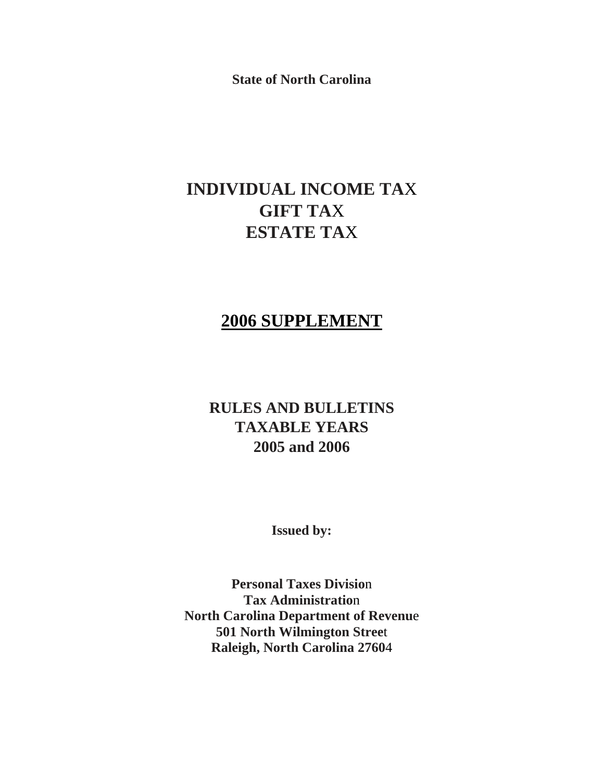**State of North Carolina**

# **INDIVIDUAL INCOME TA**X **GIFT TA**X **ESTATE TA**X

# **2006 SUPPLEMENT**

# **RULES AND BULLETINS TAXABLE YEARS 2005 and 2006**

**Issued by:** 

**Personal Taxes Divisio**n **Tax Administratio**n **North Carolina Department of Revenu**e **501 North Wilmington Stree**t **Raleigh, North Carolina 2760**4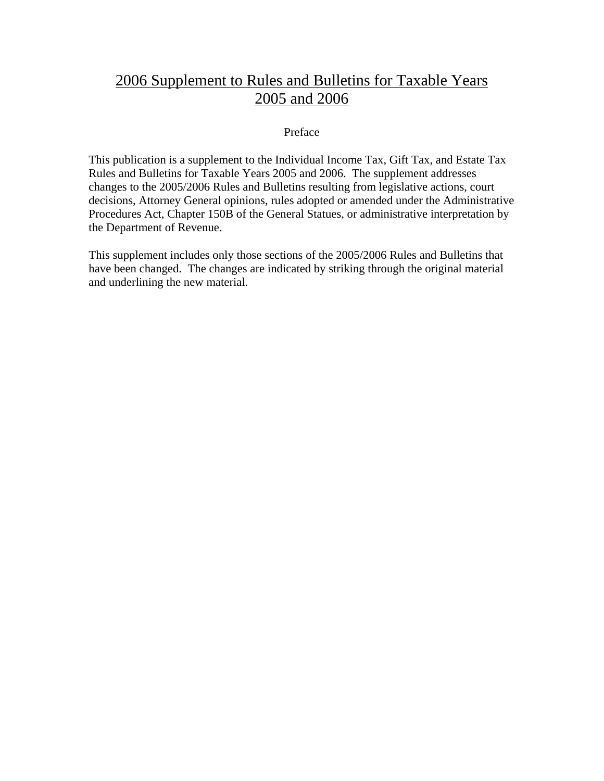# 2006 Supplement to Rules and Bulletins for Taxable Years 2005 and 2006

# Preface

This publication is a supplement to the Individual Income Tax, Gift Tax, and Estate Tax Rules and Bulletins for Taxable Years 2005 and 2006. The supplement addresses changes to the 2005/2006 Rules and Bulletins resulting from legislative actions, court decisions, Attorney General opinions, rules adopted or amended under the Administrative Procedures Act, Chapter 150B of the General Statues, or administrative interpretation by the Department of Revenue.

This supplement includes only those sections of the 2005/2006 Rules and Bulletins that have been changed. The changes are indicated by striking through the original material and underlining the new material.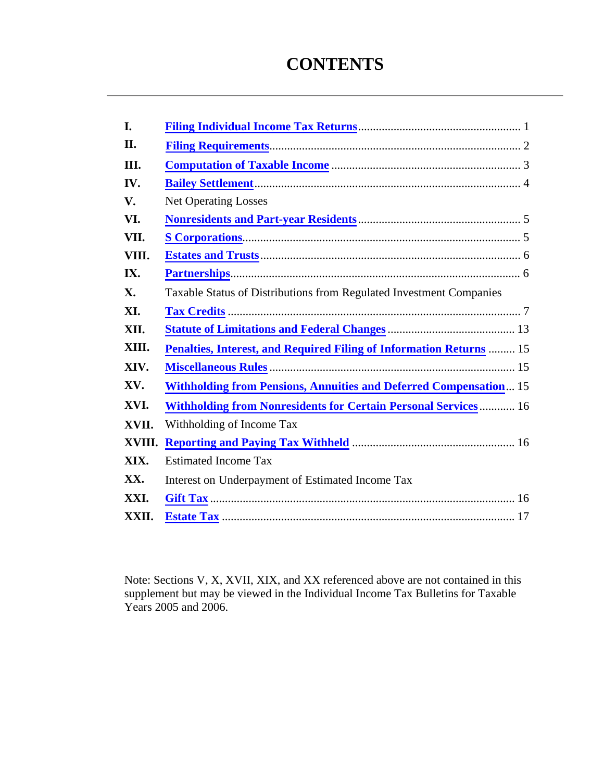# **CONTENTS**

| I.         |                                                                            |
|------------|----------------------------------------------------------------------------|
| <b>II.</b> |                                                                            |
| III.       |                                                                            |
| IV.        |                                                                            |
| V.         | <b>Net Operating Losses</b>                                                |
| VI.        |                                                                            |
| VII.       |                                                                            |
| VIII.      |                                                                            |
| IX.        |                                                                            |
| X.         | Taxable Status of Distributions from Regulated Investment Companies        |
| XI.        |                                                                            |
| XII.       |                                                                            |
| XIII.      | <b>Penalties, Interest, and Required Filing of Information Returns  15</b> |
| XIV.       |                                                                            |
| XV.        | <b>Withholding from Pensions, Annuities and Deferred Compensation 15</b>   |
| XVI.       | <b>Withholding from Nonresidents for Certain Personal Services 16</b>      |
| XVII.      | Withholding of Income Tax                                                  |
| XVIII.     |                                                                            |
| XIX.       | <b>Estimated Income Tax</b>                                                |
| XX.        | Interest on Underpayment of Estimated Income Tax                           |
| XXI.       |                                                                            |
| XXII.      |                                                                            |

Note: Sections V, X, XVII, XIX, and XX referenced above are not contained in this supplement but may be viewed in the Individual Income Tax Bulletins for Taxable Years 2005 and 2006.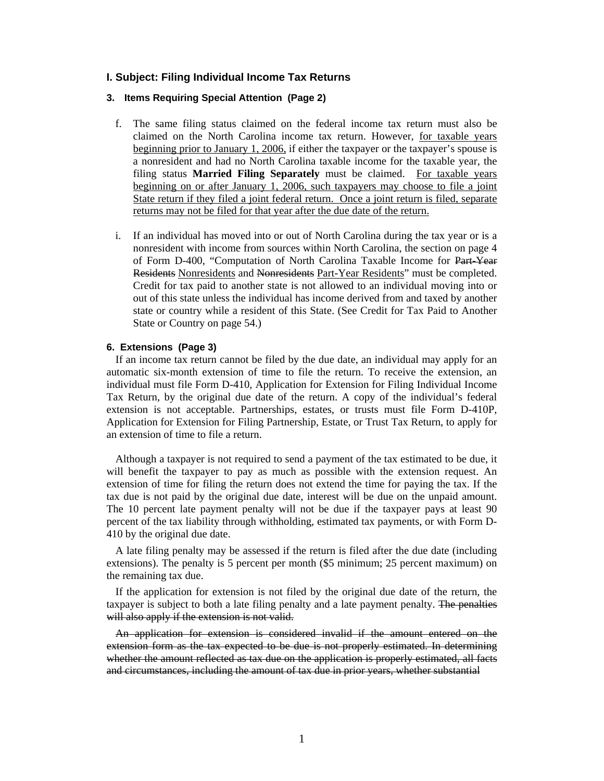### <span id="page-3-0"></span>**I. Subject: Filing Individual Income Tax Returns**

# **3. Items Requiring Special Attention (Page 2)**

- f. The same filing status claimed on the federal income tax return must also be claimed on the North Carolina income tax return. However, for taxable years beginning prior to January 1, 2006, if either the taxpayer or the taxpayer's spouse is a nonresident and had no North Carolina taxable income for the taxable year, the filing status **Married Filing Separately** must be claimed. For taxable years beginning on or after January 1, 2006, such taxpayers may choose to file a joint State return if they filed a joint federal return. Once a joint return is filed, separate returns may not be filed for that year after the due date of the return.
- i. If an individual has moved into or out of North Carolina during the tax year or is a nonresident with income from sources within North Carolina, the section on page 4 of Form D-400, "Computation of North Carolina Taxable Income for Part-Year Residents Nonresidents and Nonresidents Part-Year Residents" must be completed. Credit for tax paid to another state is not allowed to an individual moving into or out of this state unless the individual has income derived from and taxed by another state or country while a resident of this State. (See Credit for Tax Paid to Another State or Country on page 54.)

### **6. Extensions (Page 3)**

If an income tax return cannot be filed by the due date, an individual may apply for an automatic six-month extension of time to file the return. To receive the extension, an individual must file Form D-410, Application for Extension for Filing Individual Income Tax Return, by the original due date of the return. A copy of the individual's federal extension is not acceptable. Partnerships, estates, or trusts must file Form D-410P, Application for Extension for Filing Partnership, Estate, or Trust Tax Return, to apply for an extension of time to file a return.

Although a taxpayer is not required to send a payment of the tax estimated to be due, it will benefit the taxpayer to pay as much as possible with the extension request. An extension of time for filing the return does not extend the time for paying the tax. If the tax due is not paid by the original due date, interest will be due on the unpaid amount. The 10 percent late payment penalty will not be due if the taxpayer pays at least 90 percent of the tax liability through withholding, estimated tax payments, or with Form D-410 by the original due date.

A late filing penalty may be assessed if the return is filed after the due date (including extensions). The penalty is 5 percent per month (\$5 minimum; 25 percent maximum) on the remaining tax due.

If the application for extension is not filed by the original due date of the return, the taxpayer is subject to both a late filing penalty and a late payment penalty. The penalties will also apply if the extension is not valid.

An application for extension is considered invalid if the amount entered on the extension form as the tax expected to be due is not properly estimated. In determining whether the amount reflected as tax due on the application is properly estimated, all facts and circumstances, including the amount of tax due in prior years, whether substantial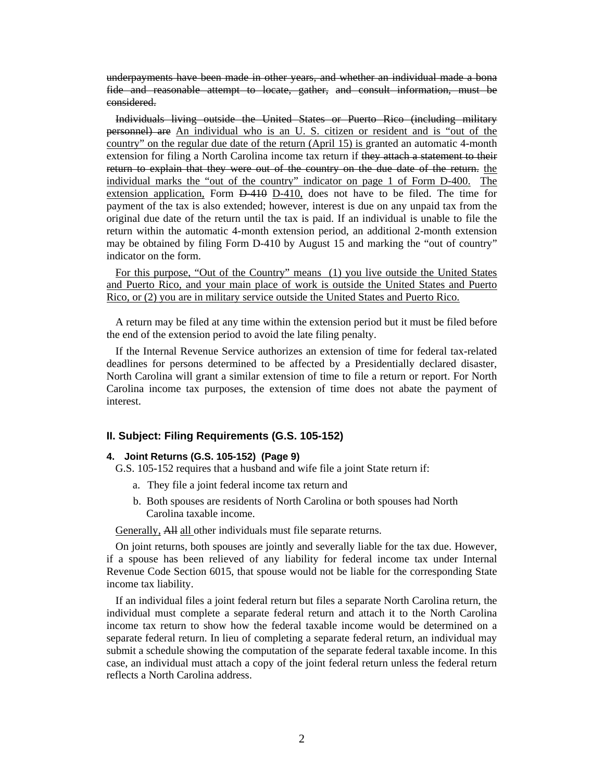<span id="page-4-0"></span>underpayments have been made in other years, and whether an individual made a bona fide and reasonable attempt to locate, gather, and consult information, must be considered.

Individuals living outside the United States or Puerto Rico (including military personnel) are An individual who is an U. S. citizen or resident and is "out of the country" on the regular due date of the return (April 15) is granted an automatic 4-month extension for filing a North Carolina income tax return if they attach a statement to their return to explain that they were out of the country on the due date of the return. the individual marks the "out of the country" indicator on page 1 of Form D-400. The extension application, Form  $\overline{D-410}$ , D-410, does not have to be filed. The time for payment of the tax is also extended; however, interest is due on any unpaid tax from the original due date of the return until the tax is paid. If an individual is unable to file the return within the automatic 4-month extension period, an additional 2-month extension may be obtained by filing Form D-410 by August 15 and marking the "out of country" indicator on the form.

 For this purpose, "Out of the Country" means (1) you live outside the United States and Puerto Rico, and your main place of work is outside the United States and Puerto Rico, or (2) you are in military service outside the United States and Puerto Rico.

A return may be filed at any time within the extension period but it must be filed before the end of the extension period to avoid the late filing penalty.

If the Internal Revenue Service authorizes an extension of time for federal tax-related deadlines for persons determined to be affected by a Presidentially declared disaster, North Carolina will grant a similar extension of time to file a return or report. For North Carolina income tax purposes, the extension of time does not abate the payment of interest.

## **II. Subject: Filing Requirements (G.S. 105-152)**

## **4. Joint Returns (G.S. 105-152) (Page 9)**

- G.S. 105-152 requires that a husband and wife file a joint State return if:
	- a. They file a joint federal income tax return and
	- b. Both spouses are residents of North Carolina or both spouses had North Carolina taxable income.

Generally, All all other individuals must file separate returns.

On joint returns, both spouses are jointly and severally liable for the tax due. However, if a spouse has been relieved of any liability for federal income tax under Internal Revenue Code Section 6015, that spouse would not be liable for the corresponding State income tax liability.

If an individual files a joint federal return but files a separate North Carolina return, the individual must complete a separate federal return and attach it to the North Carolina income tax return to show how the federal taxable income would be determined on a separate federal return. In lieu of completing a separate federal return, an individual may submit a schedule showing the computation of the separate federal taxable income. In this case, an individual must attach a copy of the joint federal return unless the federal return reflects a North Carolina address.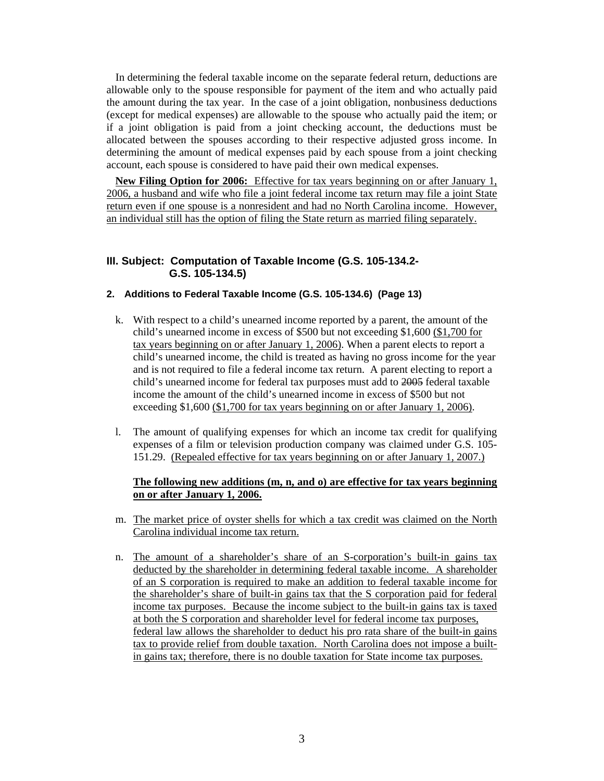<span id="page-5-0"></span>In determining the federal taxable income on the separate federal return, deductions are allowable only to the spouse responsible for payment of the item and who actually paid the amount during the tax year. In the case of a joint obligation, nonbusiness deductions (except for medical expenses) are allowable to the spouse who actually paid the item; or if a joint obligation is paid from a joint checking account, the deductions must be allocated between the spouses according to their respective adjusted gross income. In determining the amount of medical expenses paid by each spouse from a joint checking account, each spouse is considered to have paid their own medical expenses.

 **New Filing Option for 2006:** Effective for tax years beginning on or after January 1, 2006, a husband and wife who file a joint federal income tax return may file a joint State return even if one spouse is a nonresident and had no North Carolina income. However, an individual still has the option of filing the State return as married filing separately.

# **III. Subject: Computation of Taxable Income (G.S. 105-134.2- G.S. 105-134.5)**

# **2. Additions to Federal Taxable Income (G.S. 105-134.6) (Page 13)**

- k. With respect to a child's unearned income reported by a parent, the amount of the child's unearned income in excess of \$500 but not exceeding \$1,600 (\$1,700 for tax years beginning on or after January 1, 2006). When a parent elects to report a child's unearned income, the child is treated as having no gross income for the year and is not required to file a federal income tax return. A parent electing to report a child's unearned income for federal tax purposes must add to 2005 federal taxable income the amount of the child's unearned income in excess of \$500 but not exceeding \$1,600 (\$1,700 for tax years beginning on or after January 1, 2006).
- l. The amount of qualifying expenses for which an income tax credit for qualifying expenses of a film or television production company was claimed under G.S. 105- 151.29. (Repealed effective for tax years beginning on or after January 1, 2007.)

### **The following new additions (m, n, and o) are effective for tax years beginning on or after January 1, 2006.**

- m. The market price of oyster shells for which a tax credit was claimed on the North Carolina individual income tax return.
- n. The amount of a shareholder's share of an S-corporation's built-in gains tax deducted by the shareholder in determining federal taxable income. A shareholder of an S corporation is required to make an addition to federal taxable income for the shareholder's share of built-in gains tax that the S corporation paid for federal income tax purposes. Because the income subject to the built-in gains tax is taxed at both the S corporation and shareholder level for federal income tax purposes, federal law allows the shareholder to deduct his pro rata share of the built-in gains tax to provide relief from double taxation. North Carolina does not impose a builtin gains tax; therefore, there is no double taxation for State income tax purposes.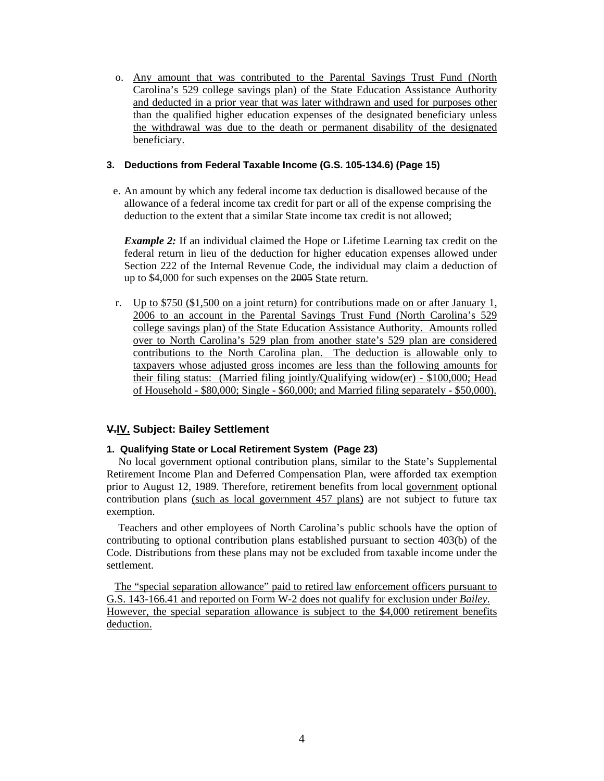<span id="page-6-0"></span>o. Any amount that was contributed to the Parental Savings Trust Fund (North Carolina's 529 college savings plan) of the State Education Assistance Authority and deducted in a prior year that was later withdrawn and used for purposes other than the qualified higher education expenses of the designated beneficiary unless the withdrawal was due to the death or permanent disability of the designated beneficiary.

## **3. Deductions from Federal Taxable Income (G.S. 105-134.6) (Page 15)**

e. An amount by which any federal income tax deduction is disallowed because of the allowance of a federal income tax credit for part or all of the expense comprising the deduction to the extent that a similar State income tax credit is not allowed;

*Example 2:* If an individual claimed the Hope or Lifetime Learning tax credit on the federal return in lieu of the deduction for higher education expenses allowed under Section 222 of the Internal Revenue Code, the individual may claim a deduction of up to \$4,000 for such expenses on the 2005 State return.

r. Up to  $$750 ($1,500$  on a joint return) for contributions made on or after January 1, 2006 to an account in the Parental Savings Trust Fund (North Carolina's 529 college savings plan) of the State Education Assistance Authority. Amounts rolled over to North Carolina's 529 plan from another state's 529 plan are considered contributions to the North Carolina plan. The deduction is allowable only to taxpayers whose adjusted gross incomes are less than the following amounts for their filing status: (Married filing jointly/Qualifying widow(er) - \$100,000; Head of Household - \$80,000; Single - \$60,000; and Married filing separately - \$50,000).

# **V.IV. Subject: Bailey Settlement**

# **1. Qualifying State or Local Retirement System (Page 23)**

No local government optional contribution plans, similar to the State's Supplemental Retirement Income Plan and Deferred Compensation Plan, were afforded tax exemption prior to August 12, 1989. Therefore, retirement benefits from local government optional contribution plans (such as local government 457 plans) are not subject to future tax exemption.

Teachers and other employees of North Carolina's public schools have the option of contributing to optional contribution plans established pursuant to section 403(b) of the Code. Distributions from these plans may not be excluded from taxable income under the settlement.

 The "special separation allowance" paid to retired law enforcement officers pursuant to G.S. 143-166.41 and reported on Form W-2 does not qualify for exclusion under *Bailey*. However, the special separation allowance is subject to the \$4,000 retirement benefits deduction.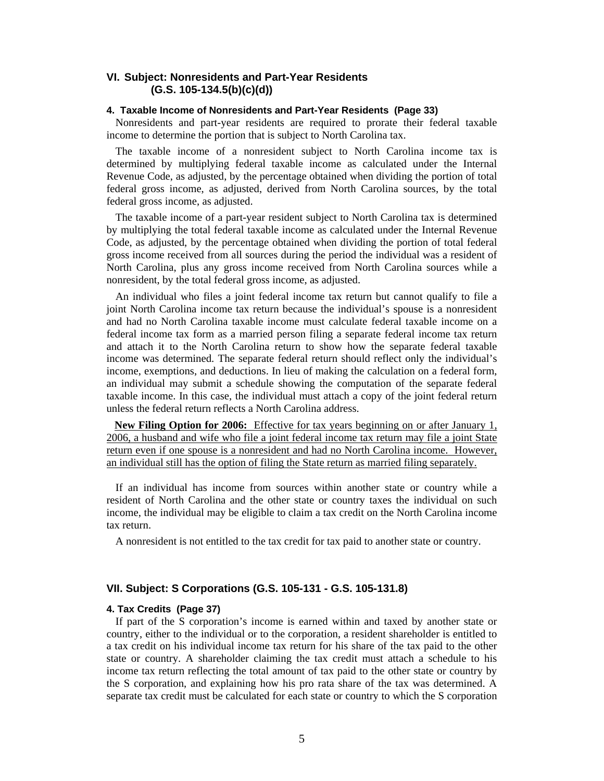# <span id="page-7-0"></span>**VI. Subject: Nonresidents and Part-Year Residents (G.S. 105-134.5(b)(c)(d))**

#### **4. Taxable Income of Nonresidents and Part-Year Residents (Page 33)**

Nonresidents and part-year residents are required to prorate their federal taxable income to determine the portion that is subject to North Carolina tax.

The taxable income of a nonresident subject to North Carolina income tax is determined by multiplying federal taxable income as calculated under the Internal Revenue Code, as adjusted, by the percentage obtained when dividing the portion of total federal gross income, as adjusted, derived from North Carolina sources, by the total federal gross income, as adjusted.

The taxable income of a part-year resident subject to North Carolina tax is determined by multiplying the total federal taxable income as calculated under the Internal Revenue Code, as adjusted, by the percentage obtained when dividing the portion of total federal gross income received from all sources during the period the individual was a resident of North Carolina, plus any gross income received from North Carolina sources while a nonresident, by the total federal gross income, as adjusted.

An individual who files a joint federal income tax return but cannot qualify to file a joint North Carolina income tax return because the individual's spouse is a nonresident and had no North Carolina taxable income must calculate federal taxable income on a federal income tax form as a married person filing a separate federal income tax return and attach it to the North Carolina return to show how the separate federal taxable income was determined. The separate federal return should reflect only the individual's income, exemptions, and deductions. In lieu of making the calculation on a federal form, an individual may submit a schedule showing the computation of the separate federal taxable income. In this case, the individual must attach a copy of the joint federal return unless the federal return reflects a North Carolina address.

 **New Filing Option for 2006:** Effective for tax years beginning on or after January 1, 2006, a husband and wife who file a joint federal income tax return may file a joint State return even if one spouse is a nonresident and had no North Carolina income. However, an individual still has the option of filing the State return as married filing separately.

If an individual has income from sources within another state or country while a resident of North Carolina and the other state or country taxes the individual on such income, the individual may be eligible to claim a tax credit on the North Carolina income tax return.

A nonresident is not entitled to the tax credit for tax paid to another state or country.

# **VII. Subject: S Corporations (G.S. 105-131 - G.S. 105-131.8)**

#### **4. Tax Credits (Page 37)**

If part of the S corporation's income is earned within and taxed by another state or country, either to the individual or to the corporation, a resident shareholder is entitled to a tax credit on his individual income tax return for his share of the tax paid to the other state or country. A shareholder claiming the tax credit must attach a schedule to his income tax return reflecting the total amount of tax paid to the other state or country by the S corporation, and explaining how his pro rata share of the tax was determined. A separate tax credit must be calculated for each state or country to which the S corporation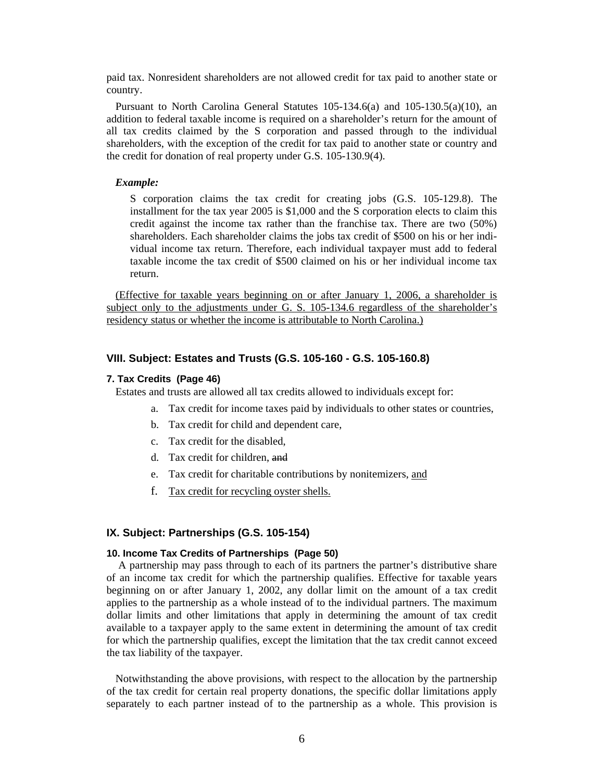<span id="page-8-0"></span>paid tax. Nonresident shareholders are not allowed credit for tax paid to another state or country.

Pursuant to North Carolina General Statutes  $105-134.6(a)$  and  $105-130.5(a)(10)$ , an addition to federal taxable income is required on a shareholder's return for the amount of all tax credits claimed by the S corporation and passed through to the individual shareholders, with the exception of the credit for tax paid to another state or country and the credit for donation of real property under G.S. 105-130.9(4).

#### *Example:*

S corporation claims the tax credit for creating jobs (G.S. 105-129.8). The installment for the tax year 2005 is \$1,000 and the S corporation elects to claim this credit against the income tax rather than the franchise tax. There are two (50%) shareholders. Each shareholder claims the jobs tax credit of \$500 on his or her individual income tax return. Therefore, each individual taxpayer must add to federal taxable income the tax credit of \$500 claimed on his or her individual income tax return.

(Effective for taxable years beginning on or after January 1, 2006, a shareholder is subject only to the adjustments under G. S. 105-134.6 regardless of the shareholder's residency status or whether the income is attributable to North Carolina.)

### **VIII. Subject: Estates and Trusts (G.S. 105-160 - G.S. 105-160.8)**

#### **7. Tax Credits (Page 46)**

Estates and trusts are allowed all tax credits allowed to individuals except for:

- a. Tax credit for income taxes paid by individuals to other states or countries,
- b. Tax credit for child and dependent care,
- c. Tax credit for the disabled,
- d. Tax credit for children, and
- e. Tax credit for charitable contributions by nonitemizers, and
- f. Tax credit for recycling oyster shells.

#### **IX. Subject: Partnerships (G.S. 105-154)**

#### **10. Income Tax Credits of Partnerships (Page 50)**

A partnership may pass through to each of its partners the partner's distributive share of an income tax credit for which the partnership qualifies. Effective for taxable years beginning on or after January 1, 2002, any dollar limit on the amount of a tax credit applies to the partnership as a whole instead of to the individual partners. The maximum dollar limits and other limitations that apply in determining the amount of tax credit available to a taxpayer apply to the same extent in determining the amount of tax credit for which the partnership qualifies, except the limitation that the tax credit cannot exceed the tax liability of the taxpayer.

Notwithstanding the above provisions, with respect to the allocation by the partnership of the tax credit for certain real property donations, the specific dollar limitations apply separately to each partner instead of to the partnership as a whole. This provision is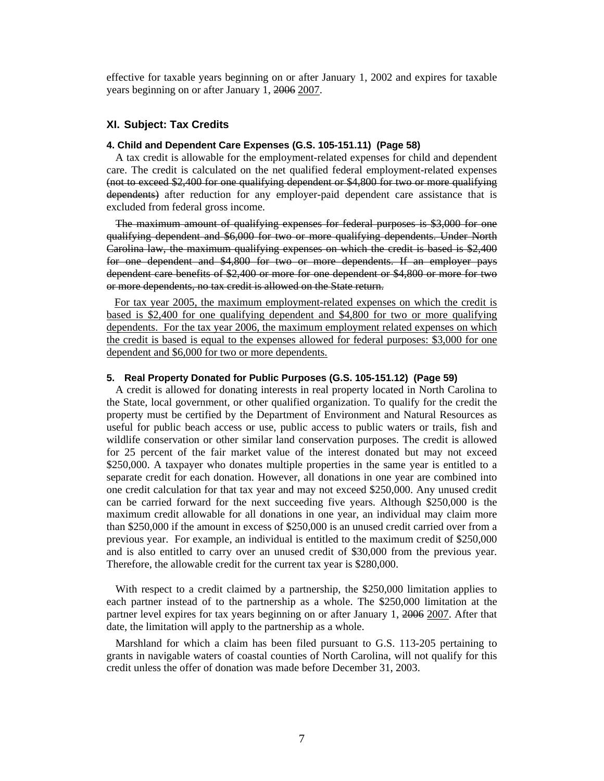<span id="page-9-0"></span>effective for taxable years beginning on or after January 1, 2002 and expires for taxable years beginning on or after January 1, 2006 2007.

## **XI. Subject: Tax Credits**

#### **4. Child and Dependent Care Expenses (G.S. 105-151.11) (Page 58)**

A tax credit is allowable for the employment-related expenses for child and dependent care. The credit is calculated on the net qualified federal employment-related expenses (not to exceed \$2,400 for one qualifying dependent or \$4,800 for two or more qualifying dependents) after reduction for any employer-paid dependent care assistance that is excluded from federal gross income.

The maximum amount of qualifying expenses for federal purposes is \$3,000 for one qualifying dependent and \$6,000 for two or more qualifying dependents. Under North Carolina law, the maximum qualifying expenses on which the credit is based is \$2,400 for one dependent and \$4,800 for two or more dependents. If an employer pays dependent care benefits of \$2,400 or more for one dependent or \$4,800 or more for two or more dependents, no tax credit is allowed on the State return.

 For tax year 2005, the maximum employment-related expenses on which the credit is based is \$2,400 for one qualifying dependent and \$4,800 for two or more qualifying dependents. For the tax year 2006, the maximum employment related expenses on which the credit is based is equal to the expenses allowed for federal purposes: \$3,000 for one dependent and \$6,000 for two or more dependents.

#### **5. Real Property Donated for Public Purposes (G.S. 105-151.12) (Page 59)**

A credit is allowed for donating interests in real property located in North Carolina to the State, local government, or other qualified organization. To qualify for the credit the property must be certified by the Department of Environment and Natural Resources as useful for public beach access or use, public access to public waters or trails, fish and wildlife conservation or other similar land conservation purposes. The credit is allowed for 25 percent of the fair market value of the interest donated but may not exceed \$250,000. A taxpayer who donates multiple properties in the same year is entitled to a separate credit for each donation. However, all donations in one year are combined into one credit calculation for that tax year and may not exceed \$250,000. Any unused credit can be carried forward for the next succeeding five years. Although \$250,000 is the maximum credit allowable for all donations in one year, an individual may claim more than \$250,000 if the amount in excess of \$250,000 is an unused credit carried over from a previous year. For example, an individual is entitled to the maximum credit of \$250,000 and is also entitled to carry over an unused credit of \$30,000 from the previous year. Therefore, the allowable credit for the current tax year is \$280,000.

With respect to a credit claimed by a partnership, the \$250,000 limitation applies to each partner instead of to the partnership as a whole. The \$250,000 limitation at the partner level expires for tax years beginning on or after January 1, 2006 2007. After that date, the limitation will apply to the partnership as a whole.

Marshland for which a claim has been filed pursuant to G.S. 113-205 pertaining to grants in navigable waters of coastal counties of North Carolina, will not qualify for this credit unless the offer of donation was made before December 31, 2003.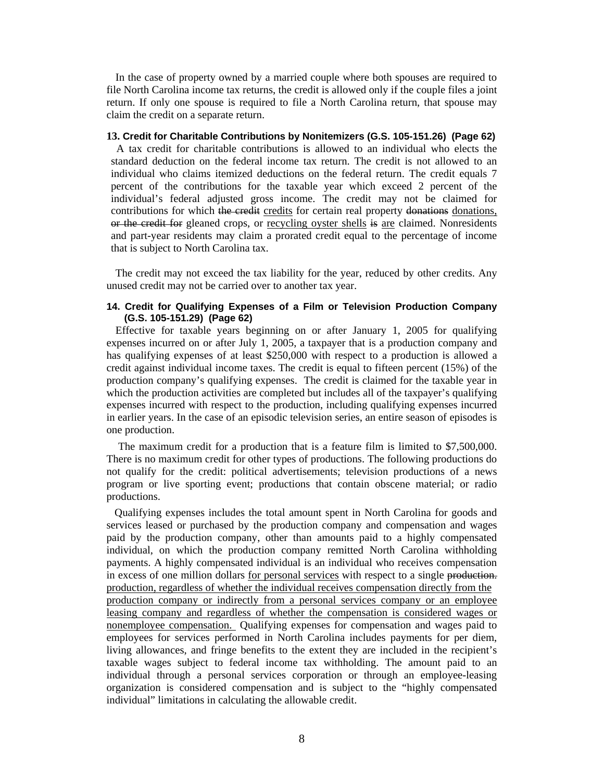In the case of property owned by a married couple where both spouses are required to file North Carolina income tax returns, the credit is allowed only if the couple files a joint return. If only one spouse is required to file a North Carolina return, that spouse may claim the credit on a separate return.

## **13. Credit for Charitable Contributions by Nonitemizers (G.S. 105-151.26) (Page 62)**

A tax credit for charitable contributions is allowed to an individual who elects the standard deduction on the federal income tax return. The credit is not allowed to an individual who claims itemized deductions on the federal return. The credit equals 7 percent of the contributions for the taxable year which exceed 2 percent of the individual's federal adjusted gross income. The credit may not be claimed for contributions for which the credit credits for certain real property donations, or the credit for gleaned crops, or recycling oyster shells is are claimed. Nonresidents and part-year residents may claim a prorated credit equal to the percentage of income that is subject to North Carolina tax.

The credit may not exceed the tax liability for the year, reduced by other credits. Any unused credit may not be carried over to another tax year.

## **14. Credit for Qualifying Expenses of a Film or Television Production Company (G.S. 105-151.29) (Page 62)**

Effective for taxable years beginning on or after January 1, 2005 for qualifying expenses incurred on or after July 1, 2005, a taxpayer that is a production company and has qualifying expenses of at least \$250,000 with respect to a production is allowed a credit against individual income taxes. The credit is equal to fifteen percent (15%) of the production company's qualifying expenses. The credit is claimed for the taxable year in which the production activities are completed but includes all of the taxpayer's qualifying expenses incurred with respect to the production, including qualifying expenses incurred in earlier years. In the case of an episodic television series, an entire season of episodes is one production.

 The maximum credit for a production that is a feature film is limited to \$7,500,000. There is no maximum credit for other types of productions. The following productions do not qualify for the credit: political advertisements; television productions of a news program or live sporting event; productions that contain obscene material; or radio productions.

 Qualifying expenses includes the total amount spent in North Carolina for goods and services leased or purchased by the production company and compensation and wages paid by the production company, other than amounts paid to a highly compensated individual, on which the production company remitted North Carolina withholding payments. A highly compensated individual is an individual who receives compensation in excess of one million dollars for personal services with respect to a single production. production, regardless of whether the individual receives compensation directly from the production company or indirectly from a personal services company or an employee leasing company and regardless of whether the compensation is considered wages or nonemployee compensation. Qualifying expenses for compensation and wages paid to employees for services performed in North Carolina includes payments for per diem, living allowances, and fringe benefits to the extent they are included in the recipient's taxable wages subject to federal income tax withholding. The amount paid to an individual through a personal services corporation or through an employee-leasing organization is considered compensation and is subject to the "highly compensated individual" limitations in calculating the allowable credit.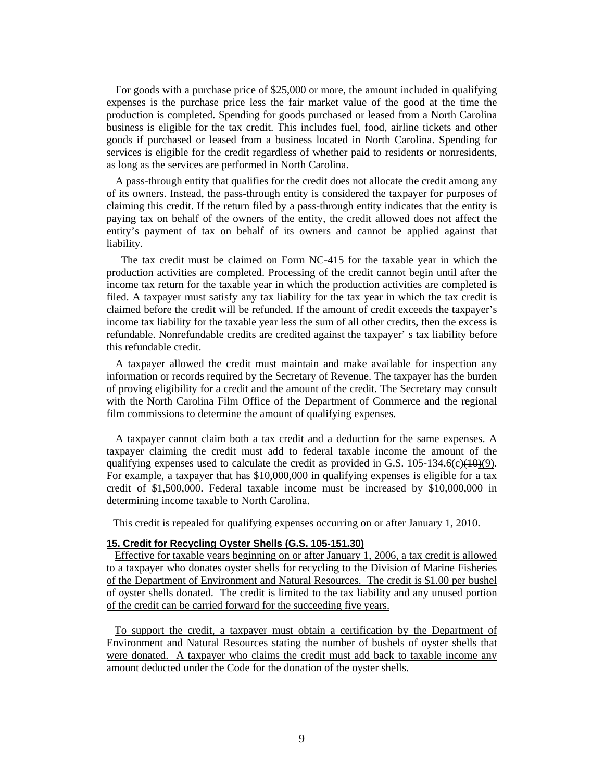For goods with a purchase price of \$25,000 or more, the amount included in qualifying expenses is the purchase price less the fair market value of the good at the time the production is completed. Spending for goods purchased or leased from a North Carolina business is eligible for the tax credit. This includes fuel, food, airline tickets and other goods if purchased or leased from a business located in North Carolina. Spending for services is eligible for the credit regardless of whether paid to residents or nonresidents, as long as the services are performed in North Carolina.

A pass-through entity that qualifies for the credit does not allocate the credit among any of its owners. Instead, the pass-through entity is considered the taxpayer for purposes of claiming this credit. If the return filed by a pass-through entity indicates that the entity is paying tax on behalf of the owners of the entity, the credit allowed does not affect the entity's payment of tax on behalf of its owners and cannot be applied against that liability.

 The tax credit must be claimed on Form NC-415 for the taxable year in which the production activities are completed. Processing of the credit cannot begin until after the income tax return for the taxable year in which the production activities are completed is filed. A taxpayer must satisfy any tax liability for the tax year in which the tax credit is claimed before the credit will be refunded. If the amount of credit exceeds the taxpayer's income tax liability for the taxable year less the sum of all other credits, then the excess is refundable. Nonrefundable credits are credited against the taxpayer' s tax liability before this refundable credit.

A taxpayer allowed the credit must maintain and make available for inspection any information or records required by the Secretary of Revenue. The taxpayer has the burden of proving eligibility for a credit and the amount of the credit. The Secretary may consult with the North Carolina Film Office of the Department of Commerce and the regional film commissions to determine the amount of qualifying expenses.

A taxpayer cannot claim both a tax credit and a deduction for the same expenses. A taxpayer claiming the credit must add to federal taxable income the amount of the qualifying expenses used to calculate the credit as provided in G.S.  $105-134.6(c)(10)(9)$ . For example, a taxpayer that has \$10,000,000 in qualifying expenses is eligible for a tax credit of \$1,500,000. Federal taxable income must be increased by \$10,000,000 in determining income taxable to North Carolina.

This credit is repealed for qualifying expenses occurring on or after January 1, 2010.

#### **15. Credit for Recycling Oyster Shells (G.S. 105-151.30)**

 Effective for taxable years beginning on or after January 1, 2006, a tax credit is allowed to a taxpayer who donates oyster shells for recycling to the Division of Marine Fisheries of the Department of Environment and Natural Resources. The credit is \$1.00 per bushel of oyster shells donated. The credit is limited to the tax liability and any unused portion of the credit can be carried forward for the succeeding five years.

 To support the credit, a taxpayer must obtain a certification by the Department of Environment and Natural Resources stating the number of bushels of oyster shells that were donated. A taxpayer who claims the credit must add back to taxable income any amount deducted under the Code for the donation of the oyster shells.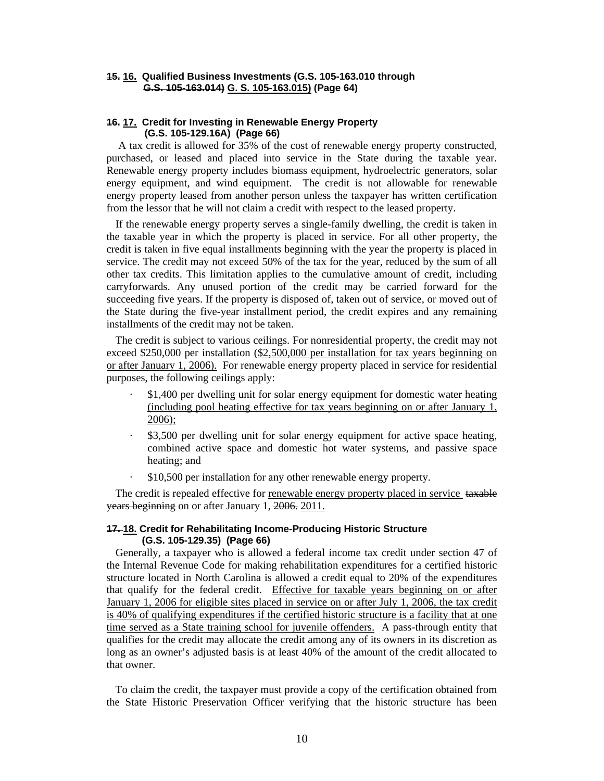## **15. 16. Qualified Business Investments (G.S. 105-163.010 through G.S. 105-163.014) G. S. 105-163.015) (Page 64)**

### **16. 17. Credit for Investing in Renewable Energy Property (G.S. 105-129.16A) (Page 66)**

A tax credit is allowed for 35% of the cost of renewable energy property constructed, purchased, or leased and placed into service in the State during the taxable year. Renewable energy property includes biomass equipment, hydroelectric generators, solar energy equipment, and wind equipment. The credit is not allowable for renewable energy property leased from another person unless the taxpayer has written certification from the lessor that he will not claim a credit with respect to the leased property.

If the renewable energy property serves a single-family dwelling, the credit is taken in the taxable year in which the property is placed in service. For all other property, the credit is taken in five equal installments beginning with the year the property is placed in service. The credit may not exceed 50% of the tax for the year, reduced by the sum of all other tax credits. This limitation applies to the cumulative amount of credit, including carryforwards. Any unused portion of the credit may be carried forward for the succeeding five years. If the property is disposed of, taken out of service, or moved out of the State during the five-year installment period, the credit expires and any remaining installments of the credit may not be taken.

The credit is subject to various ceilings. For nonresidential property, the credit may not exceed \$250,000 per installation (\$2,500,000 per installation for tax years beginning on or after January 1, 2006). For renewable energy property placed in service for residential purposes, the following ceilings apply:

- · \$1,400 per dwelling unit for solar energy equipment for domestic water heating (including pool heating effective for tax years beginning on or after January 1, 2006);
- \$3,500 per dwelling unit for solar energy equipment for active space heating, combined active space and domestic hot water systems, and passive space heating; and
- · \$10,500 per installation for any other renewable energy property.

The credit is repealed effective for renewable energy property placed in service taxable years beginning on or after January 1, 2006. 2011.

#### **17. 18. Credit for Rehabilitating Income-Producing Historic Structure (G.S. 105-129.35) (Page 66)**

Generally, a taxpayer who is allowed a federal income tax credit under section 47 of the Internal Revenue Code for making rehabilitation expenditures for a certified historic structure located in North Carolina is allowed a credit equal to 20% of the expenditures that qualify for the federal credit. Effective for taxable years beginning on or after January 1, 2006 for eligible sites placed in service on or after July 1, 2006, the tax credit is 40% of qualifying expenditures if the certified historic structure is a facility that at one time served as a State training school for juvenile offenders. A pass-through entity that qualifies for the credit may allocate the credit among any of its owners in its discretion as long as an owner's adjusted basis is at least 40% of the amount of the credit allocated to that owner.

To claim the credit, the taxpayer must provide a copy of the certification obtained from the State Historic Preservation Officer verifying that the historic structure has been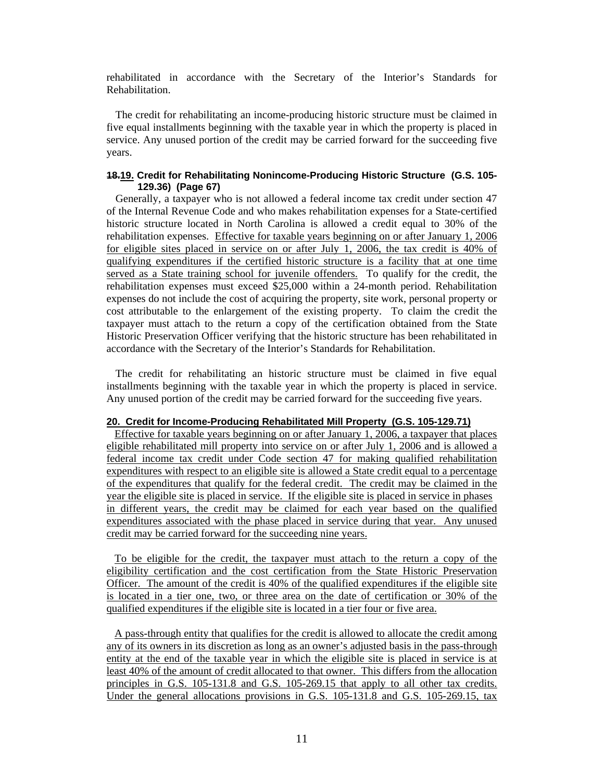rehabilitated in accordance with the Secretary of the Interior's Standards for Rehabilitation.

The credit for rehabilitating an income-producing historic structure must be claimed in five equal installments beginning with the taxable year in which the property is placed in service. Any unused portion of the credit may be carried forward for the succeeding five years.

## **18.19. Credit for Rehabilitating Nonincome-Producing Historic Structure (G.S. 105- 129.36) (Page 67)**

Generally, a taxpayer who is not allowed a federal income tax credit under section 47 of the Internal Revenue Code and who makes rehabilitation expenses for a State-certified historic structure located in North Carolina is allowed a credit equal to 30% of the rehabilitation expenses. Effective for taxable years beginning on or after January 1, 2006 for eligible sites placed in service on or after July 1, 2006, the tax credit is 40% of qualifying expenditures if the certified historic structure is a facility that at one time served as a State training school for juvenile offenders. To qualify for the credit, the rehabilitation expenses must exceed \$25,000 within a 24-month period. Rehabilitation expenses do not include the cost of acquiring the property, site work, personal property or cost attributable to the enlargement of the existing property. To claim the credit the taxpayer must attach to the return a copy of the certification obtained from the State Historic Preservation Officer verifying that the historic structure has been rehabilitated in accordance with the Secretary of the Interior's Standards for Rehabilitation.

The credit for rehabilitating an historic structure must be claimed in five equal installments beginning with the taxable year in which the property is placed in service. Any unused portion of the credit may be carried forward for the succeeding five years.

#### **20. Credit for Income-Producing Rehabilitated Mill Property (G.S. 105-129.71)**

Effective for taxable years beginning on or after January 1, 2006, a taxpayer that places eligible rehabilitated mill property into service on or after July 1, 2006 and is allowed a federal income tax credit under Code section 47 for making qualified rehabilitation expenditures with respect to an eligible site is allowed a State credit equal to a percentage of the expenditures that qualify for the federal credit. The credit may be claimed in the year the eligible site is placed in service. If the eligible site is placed in service in phases in different years, the credit may be claimed for each year based on the qualified expenditures associated with the phase placed in service during that year. Any unused credit may be carried forward for the succeeding nine years.

 To be eligible for the credit, the taxpayer must attach to the return a copy of the eligibility certification and the cost certification from the State Historic Preservation Officer. The amount of the credit is 40% of the qualified expenditures if the eligible site is located in a tier one, two, or three area on the date of certification or 30% of the qualified expenditures if the eligible site is located in a tier four or five area.

 A pass-through entity that qualifies for the credit is allowed to allocate the credit among any of its owners in its discretion as long as an owner's adjusted basis in the pass-through entity at the end of the taxable year in which the eligible site is placed in service is at least 40% of the amount of credit allocated to that owner. This differs from the allocation principles in G.S. 105-131.8 and G.S. 105-269.15 that apply to all other tax credits. Under the general allocations provisions in G.S. 105-131.8 and G.S. 105-269.15, tax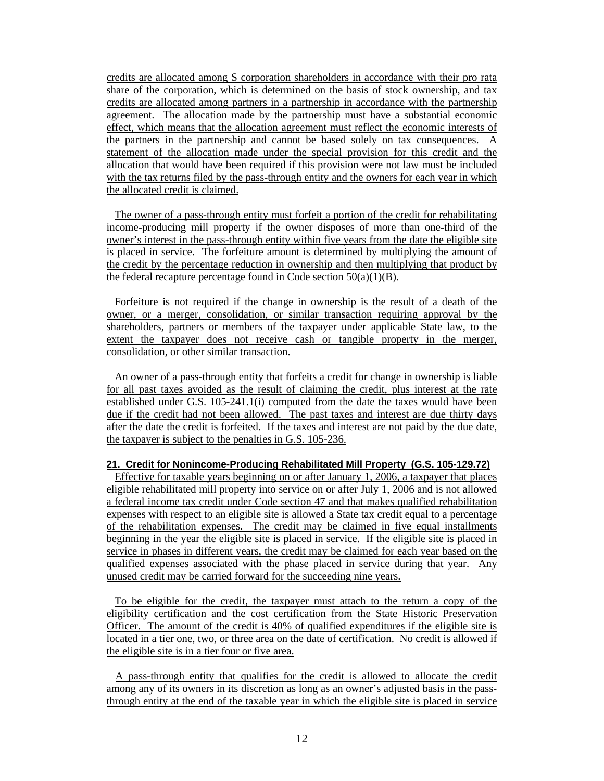credits are allocated among S corporation shareholders in accordance with their pro rata share of the corporation, which is determined on the basis of stock ownership, and tax credits are allocated among partners in a partnership in accordance with the partnership agreement. The allocation made by the partnership must have a substantial economic effect, which means that the allocation agreement must reflect the economic interests of the partners in the partnership and cannot be based solely on tax consequences. A statement of the allocation made under the special provision for this credit and the allocation that would have been required if this provision were not law must be included with the tax returns filed by the pass-through entity and the owners for each year in which the allocated credit is claimed.

 The owner of a pass-through entity must forfeit a portion of the credit for rehabilitating income-producing mill property if the owner disposes of more than one-third of the owner's interest in the pass-through entity within five years from the date the eligible site is placed in service. The forfeiture amount is determined by multiplying the amount of the credit by the percentage reduction in ownership and then multiplying that product by the federal recapture percentage found in Code section  $50(a)(1)(B)$ .

 Forfeiture is not required if the change in ownership is the result of a death of the owner, or a merger, consolidation, or similar transaction requiring approval by the shareholders, partners or members of the taxpayer under applicable State law, to the extent the taxpayer does not receive cash or tangible property in the merger, consolidation, or other similar transaction.

 An owner of a pass-through entity that forfeits a credit for change in ownership is liable for all past taxes avoided as the result of claiming the credit, plus interest at the rate established under G.S. 105-241.1(i) computed from the date the taxes would have been due if the credit had not been allowed. The past taxes and interest are due thirty days after the date the credit is forfeited. If the taxes and interest are not paid by the due date, the taxpayer is subject to the penalties in G.S. 105-236.

#### **21. Credit for Nonincome-Producing Rehabilitated Mill Property (G.S. 105-129.72)**

 Effective for taxable years beginning on or after January 1, 2006, a taxpayer that places eligible rehabilitated mill property into service on or after July 1, 2006 and is not allowed a federal income tax credit under Code section 47 and that makes qualified rehabilitation expenses with respect to an eligible site is allowed a State tax credit equal to a percentage of the rehabilitation expenses. The credit may be claimed in five equal installments beginning in the year the eligible site is placed in service. If the eligible site is placed in service in phases in different years, the credit may be claimed for each year based on the qualified expenses associated with the phase placed in service during that year. Any unused credit may be carried forward for the succeeding nine years.

 To be eligible for the credit, the taxpayer must attach to the return a copy of the eligibility certification and the cost certification from the State Historic Preservation Officer. The amount of the credit is 40% of qualified expenditures if the eligible site is located in a tier one, two, or three area on the date of certification. No credit is allowed if the eligible site is in a tier four or five area.

 A pass-through entity that qualifies for the credit is allowed to allocate the credit among any of its owners in its discretion as long as an owner's adjusted basis in the passthrough entity at the end of the taxable year in which the eligible site is placed in service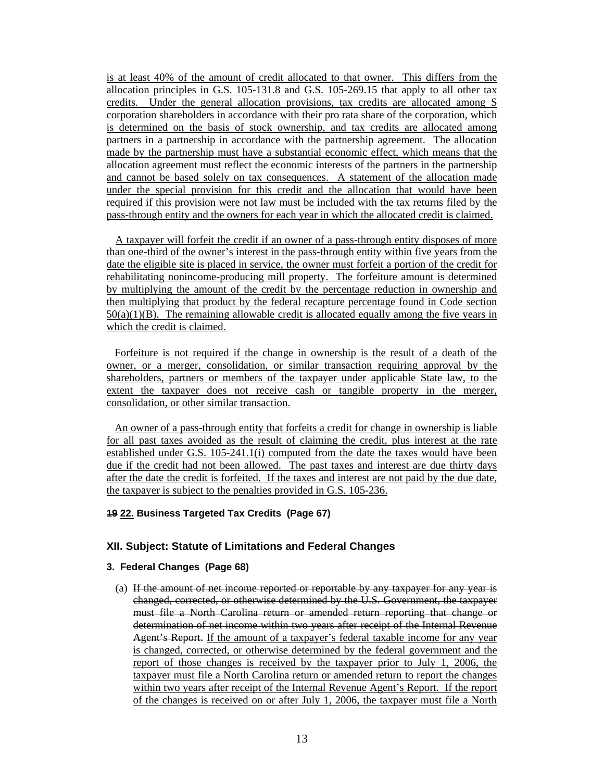<span id="page-15-0"></span>is at least 40% of the amount of credit allocated to that owner. This differs from the allocation principles in G.S. 105-131.8 and G.S. 105-269.15 that apply to all other tax credits. Under the general allocation provisions, tax credits are allocated among S corporation shareholders in accordance with their pro rata share of the corporation, which is determined on the basis of stock ownership, and tax credits are allocated among partners in a partnership in accordance with the partnership agreement. The allocation made by the partnership must have a substantial economic effect, which means that the allocation agreement must reflect the economic interests of the partners in the partnership and cannot be based solely on tax consequences. A statement of the allocation made under the special provision for this credit and the allocation that would have been required if this provision were not law must be included with the tax returns filed by the pass-through entity and the owners for each year in which the allocated credit is claimed.

 A taxpayer will forfeit the credit if an owner of a pass-through entity disposes of more than one-third of the owner's interest in the pass-through entity within five years from the date the eligible site is placed in service, the owner must forfeit a portion of the credit for rehabilitating nonincome-producing mill property. The forfeiture amount is determined by multiplying the amount of the credit by the percentage reduction in ownership and then multiplying that product by the federal recapture percentage found in Code section  $50(a)(1)(B)$ . The remaining allowable credit is allocated equally among the five years in which the credit is claimed.

 Forfeiture is not required if the change in ownership is the result of a death of the owner, or a merger, consolidation, or similar transaction requiring approval by the shareholders, partners or members of the taxpayer under applicable State law, to the extent the taxpayer does not receive cash or tangible property in the merger, consolidation, or other similar transaction.

 An owner of a pass-through entity that forfeits a credit for change in ownership is liable for all past taxes avoided as the result of claiming the credit, plus interest at the rate established under G.S. 105-241.1(i) computed from the date the taxes would have been due if the credit had not been allowed. The past taxes and interest are due thirty days after the date the credit is forfeited. If the taxes and interest are not paid by the due date, the taxpayer is subject to the penalties provided in G.S. 105-236.

# **19 22. Business Targeted Tax Credits (Page 67)**

#### **XII. Subject: Statute of Limitations and Federal Changes**

#### **3. Federal Changes (Page 68)**

(a) If the amount of net income reported or reportable by any taxpayer for any year is changed, corrected, or otherwise determined by the U.S. Government, the taxpayer must file a North Carolina return or amended return reporting that change or determination of net income within two years after receipt of the Internal Revenue Agent's Report. If the amount of a taxpayer's federal taxable income for any year is changed, corrected, or otherwise determined by the federal government and the report of those changes is received by the taxpayer prior to July 1, 2006, the taxpayer must file a North Carolina return or amended return to report the changes within two years after receipt of the Internal Revenue Agent's Report. If the report of the changes is received on or after July 1, 2006, the taxpayer must file a North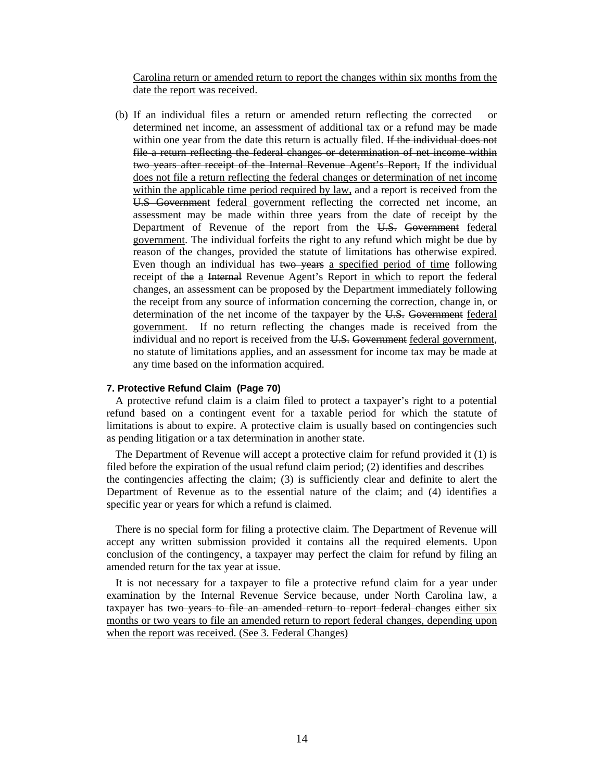Carolina return or amended return to report the changes within six months from the date the report was received.

(b) If an individual files a return or amended return reflecting the corrected or determined net income, an assessment of additional tax or a refund may be made within one year from the date this return is actually filed. If the individual does not file a return reflecting the federal changes or determination of net income within two years after receipt of the Internal Revenue Agent's Report, If the individual does not file a return reflecting the federal changes or determination of net income within the applicable time period required by law, and a report is received from the U.S Government federal government reflecting the corrected net income, an assessment may be made within three years from the date of receipt by the Department of Revenue of the report from the U.S. Government federal government. The individual forfeits the right to any refund which might be due by reason of the changes, provided the statute of limitations has otherwise expired. Even though an individual has two years a specified period of time following receipt of the a Internal Revenue Agent's Report in which to report the federal changes, an assessment can be proposed by the Department immediately following the receipt from any source of information concerning the correction, change in, or determination of the net income of the taxpayer by the U.S. Government federal government. If no return reflecting the changes made is received from the individual and no report is received from the U.S. Government federal government, no statute of limitations applies, and an assessment for income tax may be made at any time based on the information acquired.

#### **7. Protective Refund Claim (Page 70)**

A protective refund claim is a claim filed to protect a taxpayer's right to a potential refund based on a contingent event for a taxable period for which the statute of limitations is about to expire. A protective claim is usually based on contingencies such as pending litigation or a tax determination in another state.

The Department of Revenue will accept a protective claim for refund provided it (1) is filed before the expiration of the usual refund claim period; (2) identifies and describes the contingencies affecting the claim; (3) is sufficiently clear and definite to alert the Department of Revenue as to the essential nature of the claim; and (4) identifies a specific year or years for which a refund is claimed.

There is no special form for filing a protective claim. The Department of Revenue will accept any written submission provided it contains all the required elements. Upon conclusion of the contingency, a taxpayer may perfect the claim for refund by filing an amended return for the tax year at issue.

It is not necessary for a taxpayer to file a protective refund claim for a year under examination by the Internal Revenue Service because, under North Carolina law, a taxpayer has two years to file an amended return to report federal changes either six months or two years to file an amended return to report federal changes, depending upon when the report was received. (See 3. Federal Changes)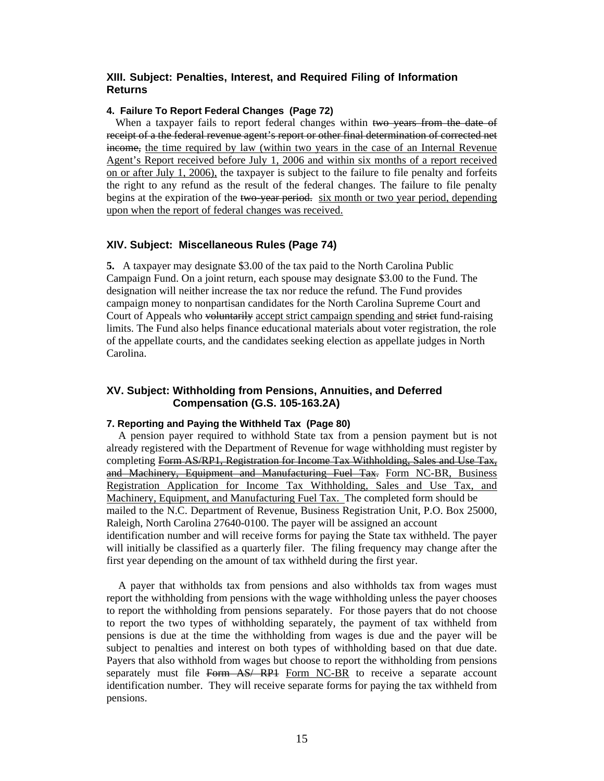# <span id="page-17-0"></span>**XIII. Subject: Penalties, Interest, and Required Filing of Information Returns**

# **4. Failure To Report Federal Changes (Page 72)**

When a taxpayer fails to report federal changes within two years from the date of receipt of a the federal revenue agent's report or other final determination of corrected net income, the time required by law (within two years in the case of an Internal Revenue Agent's Report received before July 1, 2006 and within six months of a report received on or after July 1, 2006), the taxpayer is subject to the failure to file penalty and forfeits the right to any refund as the result of the federal changes. The failure to file penalty begins at the expiration of the two-year period. six month or two year period, depending upon when the report of federal changes was received.

# **XIV. Subject: Miscellaneous Rules (Page 74)**

**5.** A taxpayer may designate \$3.00 of the tax paid to the North Carolina Public Campaign Fund. On a joint return, each spouse may designate \$3.00 to the Fund. The designation will neither increase the tax nor reduce the refund. The Fund provides campaign money to nonpartisan candidates for the North Carolina Supreme Court and Court of Appeals who voluntarily accept strict campaign spending and strict fund-raising limits. The Fund also helps finance educational materials about voter registration, the role of the appellate courts, and the candidates seeking election as appellate judges in North Carolina.

# **XV. Subject: Withholding from Pensions, Annuities, and Deferred Compensation (G.S. 105-163.2A)**

#### **7. Reporting and Paying the Withheld Tax (Page 80)**

A pension payer required to withhold State tax from a pension payment but is not already registered with the Department of Revenue for wage withholding must register by completing Form AS/RP1, Registration for Income Tax Withholding, Sales and Use Tax, and Machinery, Equipment and Manufacturing Fuel Tax. Form NC-BR, Business Registration Application for Income Tax Withholding, Sales and Use Tax, and Machinery, Equipment, and Manufacturing Fuel Tax. The completed form should be mailed to the N.C. Department of Revenue, Business Registration Unit, P.O. Box 25000, Raleigh, North Carolina 27640-0100. The payer will be assigned an account identification number and will receive forms for paying the State tax withheld. The payer will initially be classified as a quarterly filer. The filing frequency may change after the first year depending on the amount of tax withheld during the first year.

A payer that withholds tax from pensions and also withholds tax from wages must report the withholding from pensions with the wage withholding unless the payer chooses to report the withholding from pensions separately. For those payers that do not choose to report the two types of withholding separately, the payment of tax withheld from pensions is due at the time the withholding from wages is due and the payer will be subject to penalties and interest on both types of withholding based on that due date. Payers that also withhold from wages but choose to report the withholding from pensions separately must file Form AS/ RP1 Form NC-BR to receive a separate account identification number. They will receive separate forms for paying the tax withheld from pensions.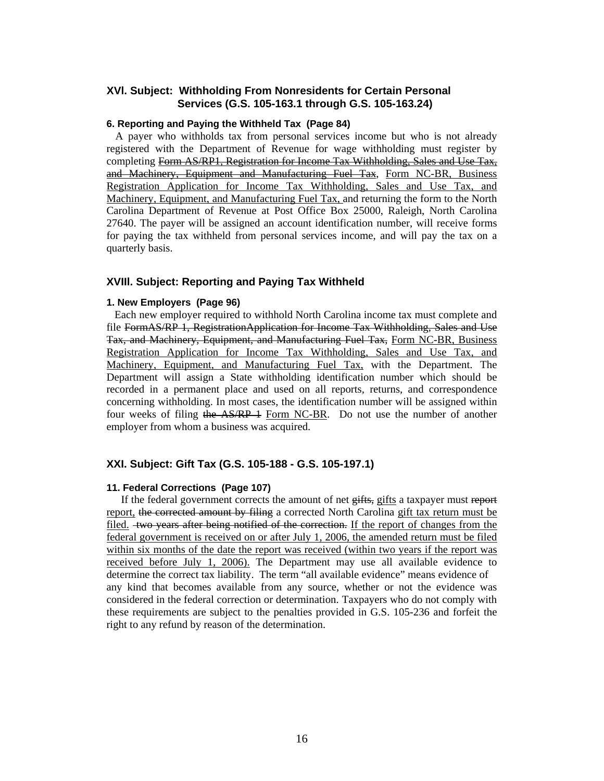## <span id="page-18-0"></span> **XVl. Subject: Withholding From Nonresidents for Certain Personal Services (G.S. 105-163.1 through G.S. 105-163.24)**

#### **6. Reporting and Paying the Withheld Tax (Page 84)**

A payer who withholds tax from personal services income but who is not already registered with the Department of Revenue for wage withholding must register by completing Form AS/RP1, Registration for Income Tax Withholding, Sales and Use Tax, and Machinery, Equipment and Manufacturing Fuel Tax, Form NC-BR, Business Registration Application for Income Tax Withholding, Sales and Use Tax, and Machinery, Equipment, and Manufacturing Fuel Tax, and returning the form to the North Carolina Department of Revenue at Post Office Box 25000, Raleigh, North Carolina 27640. The payer will be assigned an account identification number, will receive forms for paying the tax withheld from personal services income, and will pay the tax on a quarterly basis.

#### **XVIIl. Subject: Reporting and Paying Tax Withheld**

#### **1. New Employers (Page 96)**

 Each new employer required to withhold North Carolina income tax must complete and file FormAS/RP 1, RegistrationApplication for Income Tax Withholding, Sales and Use Tax, and Machinery, Equipment, and Manufacturing Fuel Tax, Form NC-BR, Business Registration Application for Income Tax Withholding, Sales and Use Tax, and Machinery, Equipment, and Manufacturing Fuel Tax, with the Department. The Department will assign a State withholding identification number which should be recorded in a permanent place and used on all reports, returns, and correspondence concerning withholding. In most cases, the identification number will be assigned within four weeks of filing the AS/RP 1 Form NC-BR. Do not use the number of another employer from whom a business was acquired.

### **XXI. Subject: Gift Tax (G.S. 105-188 - G.S. 105-197.1)**

#### **11. Federal Corrections (Page 107)**

If the federal government corrects the amount of net gifts, gifts a taxpayer must report report, the corrected amount by filing a corrected North Carolina gift tax return must be filed. two years after being notified of the correction. If the report of changes from the federal government is received on or after July 1, 2006, the amended return must be filed within six months of the date the report was received (within two years if the report was received before July 1, 2006). The Department may use all available evidence to determine the correct tax liability. The term "all available evidence" means evidence of any kind that becomes available from any source, whether or not the evidence was considered in the federal correction or determination. Taxpayers who do not comply with these requirements are subject to the penalties provided in G.S. 105-236 and forfeit the right to any refund by reason of the determination.